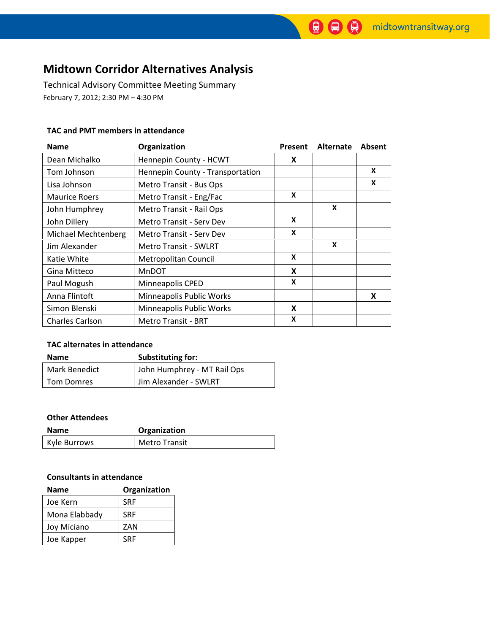# Midtown Corridor Alternatives Analysis

Technical Advisory Committee Meeting Summary February 7, 2012; 2:30 PM – 4:30 PM

#### TAC and PMT members in attendance

| <b>Name</b>                | Organization                     | Present | Alternate | Absent |
|----------------------------|----------------------------------|---------|-----------|--------|
| Dean Michalko              | Hennepin County - HCWT           | X       |           |        |
| Tom Johnson                | Hennepin County - Transportation |         |           | X      |
| Lisa Johnson               | Metro Transit - Bus Ops          |         |           | X      |
| <b>Maurice Roers</b>       | Metro Transit - Eng/Fac          | X       |           |        |
| John Humphrey              | Metro Transit - Rail Ops         |         | X         |        |
| John Dillery               | Metro Transit - Serv Dev         | X       |           |        |
| <b>Michael Mechtenberg</b> | Metro Transit - Serv Dev         | X       |           |        |
| Jim Alexander              | <b>Metro Transit - SWLRT</b>     |         | X         |        |
| Katie White                | Metropolitan Council             | X       |           |        |
| Gina Mitteco               | <b>MnDOT</b>                     | X       |           |        |
| Paul Mogush                | Minneapolis CPED                 | X       |           |        |
| Anna Flintoft              | Minneapolis Public Works         |         |           | X      |
| Simon Blenski              | Minneapolis Public Works         | X       |           |        |
| <b>Charles Carlson</b>     | <b>Metro Transit - BRT</b>       | X       |           |        |

#### TAC alternates in attendance

| <b>Name</b>       | Substituting for:           |
|-------------------|-----------------------------|
| Mark Benedict     | John Humphrey - MT Rail Ops |
| <b>Tom Domres</b> | Jim Alexander - SWLRT       |

### Other Attendees

| Name         | Organization         |
|--------------|----------------------|
| Kyle Burrows | <b>Metro Transit</b> |

#### Consultants in attendance

| <b>Name</b>   | Organization |  |  |
|---------------|--------------|--|--|
| Joe Kern      | <b>SRF</b>   |  |  |
| Mona Elabbady | <b>SRF</b>   |  |  |
| Joy Miciano   | ZAN          |  |  |
| Joe Kapper    | <b>SRF</b>   |  |  |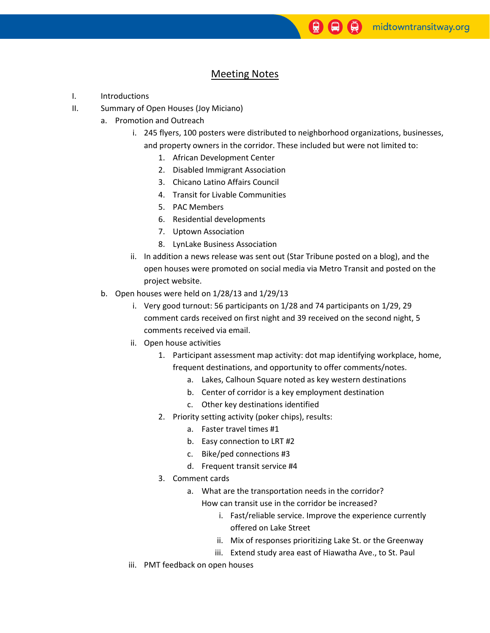## Meeting Notes

- I. Introductions
- II. Summary of Open Houses (Joy Miciano)
	- a. Promotion and Outreach
		- i. 245 flyers, 100 posters were distributed to neighborhood organizations, businesses, and property owners in the corridor. These included but were not limited to:
			- 1. African Development Center
			- 2. Disabled Immigrant Association
			- 3. Chicano Latino Affairs Council
			- 4. Transit for Livable Communities
			- 5. PAC Members
			- 6. Residential developments
			- 7. Uptown Association
			- 8. LynLake Business Association
		- ii. In addition a news release was sent out (Star Tribune posted on a blog), and the open houses were promoted on social media via Metro Transit and posted on the project website.
	- b. Open houses were held on 1/28/13 and 1/29/13
		- i. Very good turnout: 56 participants on 1/28 and 74 participants on 1/29, 29 comment cards received on first night and 39 received on the second night, 5 comments received via email.
		- ii. Open house activities
			- 1. Participant assessment map activity: dot map identifying workplace, home, frequent destinations, and opportunity to offer comments/notes.
				- a. Lakes, Calhoun Square noted as key western destinations
				- b. Center of corridor is a key employment destination
				- c. Other key destinations identified
			- 2. Priority setting activity (poker chips), results:
				- a. Faster travel times #1
				- b. Easy connection to LRT #2
				- c. Bike/ped connections #3
				- d. Frequent transit service #4
			- 3. Comment cards
				- a. What are the transportation needs in the corridor? How can transit use in the corridor be increased?
					- i. Fast/reliable service. Improve the experience currently offered on Lake Street
					- ii. Mix of responses prioritizing Lake St. or the Greenway
					- iii. Extend study area east of Hiawatha Ave., to St. Paul
		- iii. PMT feedback on open houses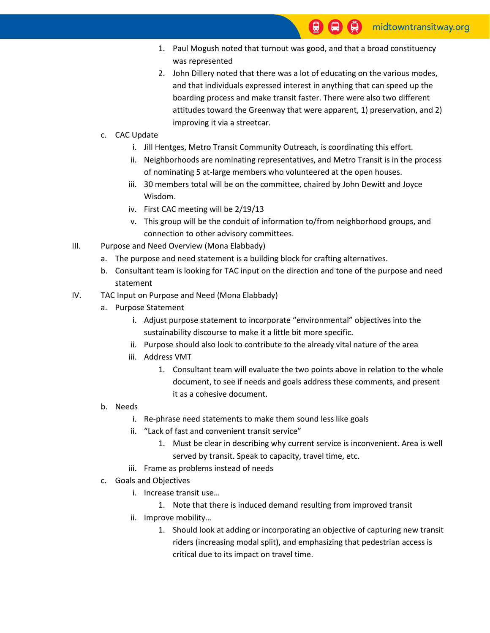- 1. Paul Mogush noted that turnout was good, and that a broad constituency was represented
- 2. John Dillery noted that there was a lot of educating on the various modes, and that individuals expressed interest in anything that can speed up the boarding process and make transit faster. There were also two different attitudes toward the Greenway that were apparent, 1) preservation, and 2) improving it via a streetcar.
- c. CAC Update
	- i. Jill Hentges, Metro Transit Community Outreach, is coordinating this effort.
	- ii. Neighborhoods are nominating representatives, and Metro Transit is in the process of nominating 5 at-large members who volunteered at the open houses.
	- iii. 30 members total will be on the committee, chaired by John Dewitt and Joyce Wisdom.
	- iv. First CAC meeting will be 2/19/13
	- v. This group will be the conduit of information to/from neighborhood groups, and connection to other advisory committees.
- III. Purpose and Need Overview (Mona Elabbady)
	- a. The purpose and need statement is a building block for crafting alternatives.
	- b. Consultant team is looking for TAC input on the direction and tone of the purpose and need statement
- IV. TAC Input on Purpose and Need (Mona Elabbady)
	- a. Purpose Statement
		- i. Adjust purpose statement to incorporate "environmental" objectives into the sustainability discourse to make it a little bit more specific.
		- ii. Purpose should also look to contribute to the already vital nature of the area
		- iii. Address VMT
			- 1. Consultant team will evaluate the two points above in relation to the whole document, to see if needs and goals address these comments, and present it as a cohesive document.
	- b. Needs
		- i. Re-phrase need statements to make them sound less like goals
		- ii. "Lack of fast and convenient transit service"
			- 1. Must be clear in describing why current service is inconvenient. Area is well served by transit. Speak to capacity, travel time, etc.
		- iii. Frame as problems instead of needs
	- c. Goals and Objectives
		- i. Increase transit use…
			- 1. Note that there is induced demand resulting from improved transit
		- ii. Improve mobility…
			- 1. Should look at adding or incorporating an objective of capturing new transit riders (increasing modal split), and emphasizing that pedestrian access is critical due to its impact on travel time.